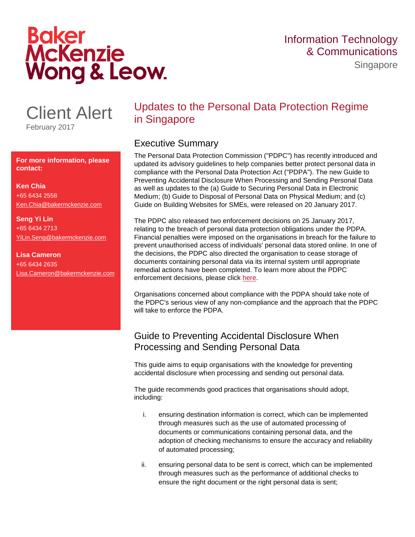# **Baker<br>McKenzie** Wong & Leow.

**Singapore** 

# Client Alert

February 2017

**For more information, please contact:**

### **Ken Chia**

+65 6434 2558 [Ken.Chia@bakermckenzie.com](mailto:Ken.Chia@bakermckenzie.com) 

**Seng Yi Lin** +65 6434 2713 [YiLin.Seng@bakermckenzie.com](mailto:YiLin.Seng@bakermckenzie.com)

#### **Lisa Cameron** +65 6434 2635 Lisa.Cameron@bakermckenzie.com

# Updates to the Personal Data Protection Regime in Singapore

#### Executive Summary

The Personal Data Protection Commission ("PDPC") has recently introduced and updated its advisory guidelines to help companies better protect personal data in compliance with the Personal Data Protection Act ("PDPA"). The new Guide to Preventing Accidental Disclosure When Processing and Sending Personal Data as well as updates to the (a) Guide to Securing Personal Data in Electronic Medium; (b) Guide to Disposal of Personal Data on Physical Medium; and (c) Guide on Building Websites for SMEs, were released on 20 January 2017.

The PDPC also released two enforcement decisions on 25 January 2017, relating to the breach of personal data protection obligations under the PDPA. Financial penalties were imposed on the organisations in breach for the failure to prevent unauthorised access of individuals' personal data stored online. In one of the decisions, the PDPC also directed the organisation to cease storage of documents containing personal data via its internal system until appropriate remedial actions have been completed. To learn more about the PDPC enforcement decisions, please click [here.](http://www.bakermckenzie.com/en/insight/publications/2017/01/data-privacy-enforcement-newsletter)

Organisations concerned about compliance with the PDPA should take note of the PDPC's serious view of any non-compliance and the approach that the PDPC will take to enforce the PDPA.

## Guide to Preventing Accidental Disclosure When Processing and Sending Personal Data

This guide aims to equip organisations with the knowledge for preventing accidental disclosure when processing and sending out personal data.

The guide recommends good practices that organisations should adopt, including:

- i. ensuring destination information is correct, which can be implemented through measures such as the use of automated processing of documents or communications containing personal data, and the adoption of checking mechanisms to ensure the accuracy and reliability of automated processing;
- ii. ensuring personal data to be sent is correct, which can be implemented through measures such as the performance of additional checks to ensure the right document or the right personal data is sent;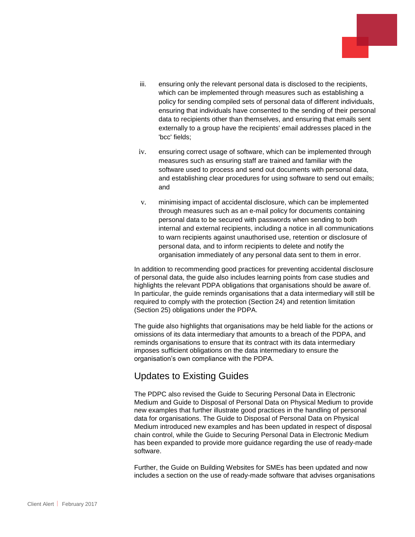- iii. ensuring only the relevant personal data is disclosed to the recipients, which can be implemented through measures such as establishing a policy for sending compiled sets of personal data of different individuals, ensuring that individuals have consented to the sending of their personal data to recipients other than themselves, and ensuring that emails sent externally to a group have the recipients' email addresses placed in the 'bcc' fields;
- iv. ensuring correct usage of software, which can be implemented through measures such as ensuring staff are trained and familiar with the software used to process and send out documents with personal data, and establishing clear procedures for using software to send out emails; and
- v. minimising impact of accidental disclosure, which can be implemented through measures such as an e-mail policy for documents containing personal data to be secured with passwords when sending to both internal and external recipients, including a notice in all communications to warn recipients against unauthorised use, retention or disclosure of personal data, and to inform recipients to delete and notify the organisation immediately of any personal data sent to them in error.

In addition to recommending good practices for preventing accidental disclosure of personal data, the guide also includes learning points from case studies and highlights the relevant PDPA obligations that organisations should be aware of. In particular, the guide reminds organisations that a data intermediary will still be required to comply with the protection (Section 24) and retention limitation (Section 25) obligations under the PDPA.

The guide also highlights that organisations may be held liable for the actions or omissions of its data intermediary that amounts to a breach of the PDPA, and reminds organisations to ensure that its contract with its data intermediary imposes sufficient obligations on the data intermediary to ensure the organisation's own compliance with the PDPA.

#### Updates to Existing Guides

The PDPC also revised the Guide to Securing Personal Data in Electronic Medium and Guide to Disposal of Personal Data on Physical Medium to provide new examples that further illustrate good practices in the handling of personal data for organisations. The Guide to Disposal of Personal Data on Physical Medium introduced new examples and has been updated in respect of disposal chain control, while the Guide to Securing Personal Data in Electronic Medium has been expanded to provide more guidance regarding the use of ready-made software.

Further, the Guide on Building Websites for SMEs has been updated and now includes a section on the use of ready-made software that advises organisations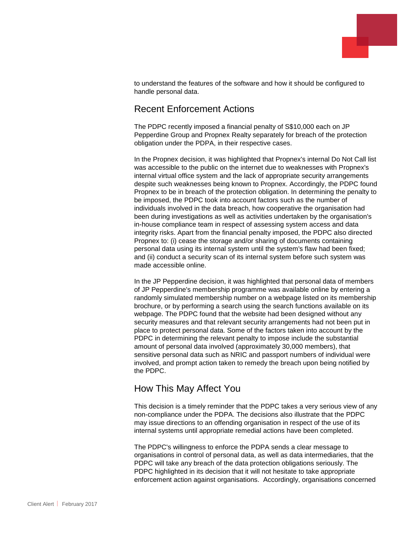

to understand the features of the software and how it should be configured to handle personal data.

#### Recent Enforcement Actions

The PDPC recently imposed a financial penalty of S\$10,000 each on JP Pepperdine Group and Propnex Realty separately for breach of the protection obligation under the PDPA, in their respective cases.

In the Propnex decision, it was highlighted that Propnex's internal Do Not Call list was accessible to the public on the internet due to weaknesses with Propnex's internal virtual office system and the lack of appropriate security arrangements despite such weaknesses being known to Propnex. Accordingly, the PDPC found Propnex to be in breach of the protection obligation. In determining the penalty to be imposed, the PDPC took into account factors such as the number of individuals involved in the data breach, how cooperative the organisation had been during investigations as well as activities undertaken by the organisation's in-house compliance team in respect of assessing system access and data integrity risks. Apart from the financial penalty imposed, the PDPC also directed Propnex to: (i) cease the storage and/or sharing of documents containing personal data using its internal system until the system's flaw had been fixed; and (ii) conduct a security scan of its internal system before such system was made accessible online.

In the JP Pepperdine decision, it was highlighted that personal data of members of JP Pepperdine's membership programme was available online by entering a randomly simulated membership number on a webpage listed on its membership brochure, or by performing a search using the search functions available on its webpage. The PDPC found that the website had been designed without any security measures and that relevant security arrangements had not been put in place to protect personal data. Some of the factors taken into account by the PDPC in determining the relevant penalty to impose include the substantial amount of personal data involved (approximately 30,000 members), that sensitive personal data such as NRIC and passport numbers of individual were involved, and prompt action taken to remedy the breach upon being notified by the PDPC.

#### How This May Affect You

This decision is a timely reminder that the PDPC takes a very serious view of any non-compliance under the PDPA. The decisions also illustrate that the PDPC may issue directions to an offending organisation in respect of the use of its internal systems until appropriate remedial actions have been completed.

The PDPC's willingness to enforce the PDPA sends a clear message to organisations in control of personal data, as well as data intermediaries, that the PDPC will take any breach of the data protection obligations seriously. The PDPC highlighted in its decision that it will not hesitate to take appropriate enforcement action against organisations. Accordingly, organisations concerned